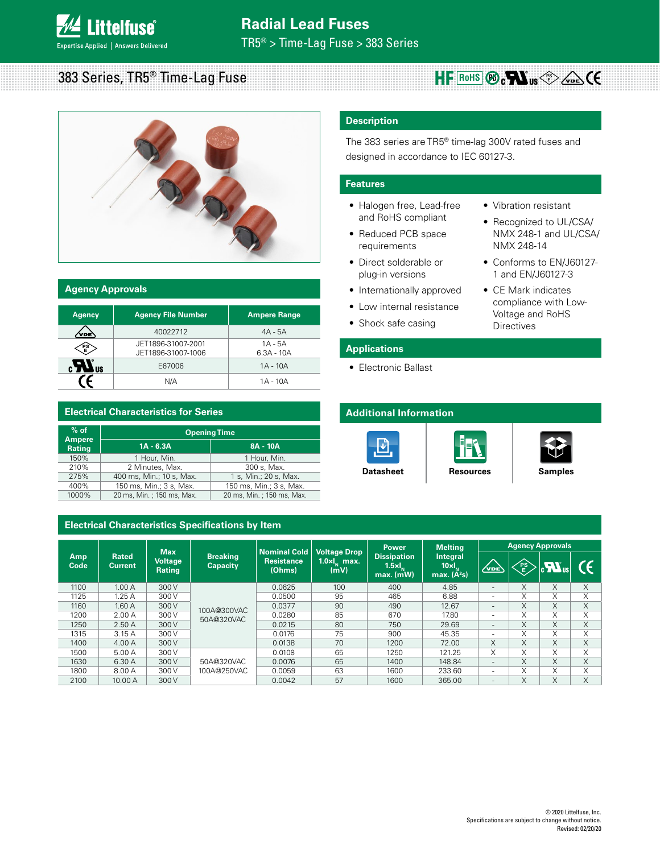#### $383$  Series, TR5<sup>®</sup> Time-Lag Fuse HF ROHS **®** CWus<sup>e</sup>



| <b>Agency Approvals</b> |                                          |                           |  |  |  |  |
|-------------------------|------------------------------------------|---------------------------|--|--|--|--|
| <b>Agency</b>           | <b>Agency File Number</b>                | <b>Ampere Range</b>       |  |  |  |  |
| ′νοε`                   | 40022712                                 | $4A - 5A$                 |  |  |  |  |
| PS)<br>E                | JET1896-31007-2001<br>JET1896-31007-1006 | $1A - 5A$<br>$6.3A - 10A$ |  |  |  |  |
| <b>NIS</b>              | E67006                                   | $1A - 10A$                |  |  |  |  |
|                         | N/A                                      | $1A - 10A$                |  |  |  |  |

# **Electrical Characteristics for Series**

| $%$ of<br><b>Ampere</b> | <b>Opening Time</b>       |                           |  |  |  |
|-------------------------|---------------------------|---------------------------|--|--|--|
| Rating                  | $1A - 6.3A$               | 8A - 10A                  |  |  |  |
| 150%                    | 1 Hour, Min.              | 1 Hour. Min.              |  |  |  |
| 210%                    | 2 Minutes, Max.           | 300 s, Max.               |  |  |  |
| 275%                    | 400 ms, Min.; 10 s, Max.  | 1 s, Min.; 20 s, Max.     |  |  |  |
| 400%                    | 150 ms. Min.: 3 s. Max.   | 150 ms. Min.: 3 s. Max.   |  |  |  |
| 1000%                   | 20 ms, Min.; 150 ms, Max. | 20 ms, Min.; 150 ms, Max. |  |  |  |

# **Electrical Characteristics Specifications by Item**

# **Description**

The 383 series are TR5® time-lag 300V rated fuses and designed in accordance to IEC 60127-3.

# **Features**

- Halogen free, Lead-free and RoHS compliant
- Reduced PCB space requirements
- Direct solderable or plug-in versions
- Internationally approved
- Low internal resistance
- Shock safe casing

• Electronic Ballast

**Applications**

- Vibration resistant • Recognized to UL/CSA/
- NMX 248-1 and UL/CSA/ NMX 248-14 • Conforms to EN/J60127-
- 1 and EN/J60127-3
- CE Mark indicates compliance with Low-Voltage and RoHS Directives

# **Additional Information**







**[Datasheet](http://www.littelfuse.com/~/media/electronics/datasheets/fuses/littelfuse_fuse_383_datasheet.pdf.pdf)** | [Resources](http://www.littelfuse.com/products/fuses/axial-radial-thru-hole-fuses/tr5-fuses/383.aspx#TechnicalResources) | [Samples](http://www.littelfuse.com/products/fuses/axial-radial-thru-hole-fuses/tr5-fuses/383.aspx#ElectricalCharacteristics)

| Amp<br>Code |                         | <b>Max</b><br><b>Voltage</b><br>Rating | <b>Breaking</b><br><b>Capacity</b> | <b>Nominal Cold</b><br><b>Resistance</b><br>(Ohms) | <b>Voltage Drop</b><br>$1.0 \times I_{\rm M}$ max.<br>(mV) | <b>Power</b><br><b>Dissipation</b><br>$1.5 \times I_{\ldots}$<br>$max.$ (mW) | <b>Melting</b><br><b>Integral</b><br>$10 \times I_{\rm M}$<br>max. $(\ddot{A}^2s)$ | <b>Agency Approvals</b>  |           |     |   |
|-------------|-------------------------|----------------------------------------|------------------------------------|----------------------------------------------------|------------------------------------------------------------|------------------------------------------------------------------------------|------------------------------------------------------------------------------------|--------------------------|-----------|-----|---|
|             | <b>Rated</b><br>Current |                                        |                                    |                                                    |                                                            |                                                                              |                                                                                    | $\sqrt{v_{DE}}$          | <b>PS</b> | ۱ ت |   |
| 1100        | 1.00A                   | 300 V                                  |                                    | 0.0625                                             | 100                                                        | 400                                                                          | 4.85                                                                               | ۰                        | X         | X   | X |
| 1125        | 1.25A                   | 300 V                                  |                                    | 0.0500                                             | 95                                                         | 465                                                                          | 6.88                                                                               | ٠                        | Χ         | X   | X |
| 1160        | 1.60A                   | 300 V                                  | 100A@300VAC<br>50A@320VAC          | 0.0377                                             | 90                                                         | 490                                                                          | 12.67                                                                              | ۰                        | X         | X   | X |
| 1200        | 2.00A                   | 300 V                                  |                                    | 0.0280                                             | 85                                                         | 670                                                                          | 17.80                                                                              | $\overline{a}$           | X         | X   | X |
| 1250        | 2.50A                   | 300 V                                  |                                    | 0.0215                                             | 80                                                         | 750                                                                          | 29.69                                                                              | $\overline{\phantom{a}}$ | X         | X   | X |
| 1315        | 3.15A                   | 300 V                                  |                                    | 0.0176                                             | 75                                                         | 900                                                                          | 45.35                                                                              | ٠                        | X         | X   | X |
| 1400        | 4.00A                   | 300 V                                  |                                    | 0.0138                                             | 70                                                         | 1200                                                                         | 72.00                                                                              | X                        | X.        | X   | X |
| 1500        | 5.00 A                  | 300 V                                  | 50A@320VAC<br>100A@250VAC          | 0.0108                                             | 65                                                         | 1250                                                                         | 121.25                                                                             | X                        | X         | X   | X |
| 1630        | 6.30 A                  | 300 V                                  |                                    | 0.0076                                             | 65                                                         | 1400                                                                         | 148.84                                                                             | ۰                        | X         | X   | X |
| 1800        | 8.00 A                  | 300V                                   |                                    | 0.0059                                             | 63                                                         | 1600                                                                         | 233.60                                                                             | ۰                        | X         | X   | X |
| 2100        | 10.00 A                 | 300 V                                  |                                    | 0.0042                                             | 57                                                         | 1600                                                                         | 365.00                                                                             | ۰                        | X         | X   | X |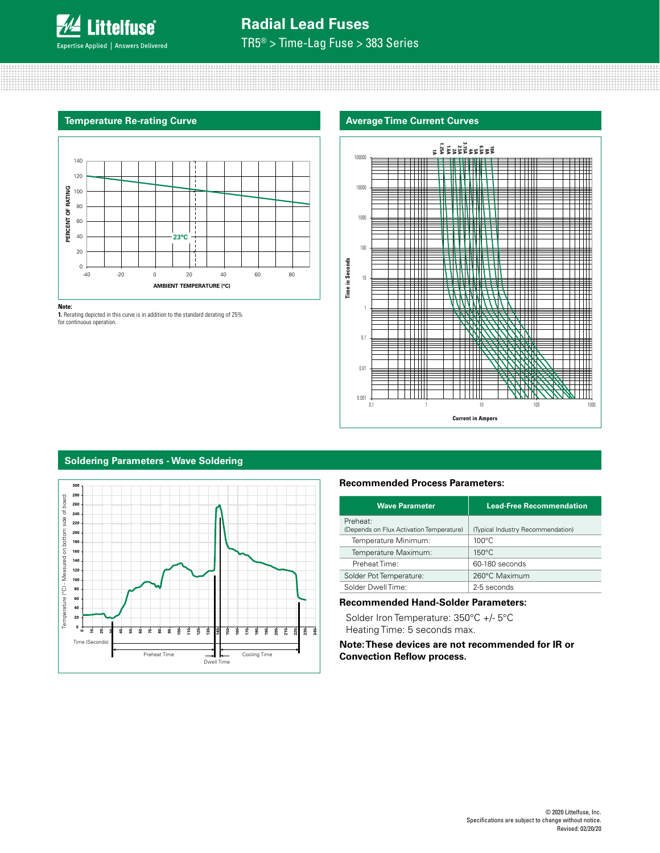

# **Radial Lead Fuses**

TR5® > Time-Lag Fuse > 383 Series

### **Temperature Re-rating Curve**



#### **Note:**

**1.** Rerating depicted in this curve is in addition to the standard derating of 25% for continuous operation.

# **Average Time Current Curves**



# **Soldering Parameters - Wave Soldering**



# **Recommended Process Parameters:**

| <b>Wave Parameter</b>                                | <b>Lead-Free Recommendation</b>   |
|------------------------------------------------------|-----------------------------------|
| Preheat:<br>(Depends on Flux Activation Temperature) | (Typical Industry Recommendation) |
| Temperature Minimum:                                 | $100^{\circ}$ C                   |
| Temperature Maximum:                                 | $150^{\circ}$ C                   |
| Preheat Time:                                        | 60-180 seconds                    |
| Solder Pot Temperature:                              | 260°C Maximum                     |
| Solder Dwell Time:                                   | 2-5 seconds                       |
|                                                      |                                   |

# **Recommended Hand-Solder Parameters:**

Solder Iron Temperature: 350°C +/- 5°C Heating Time: 5 seconds max.

**Note: These devices are not recommended for IR or Convection Reflow process.**